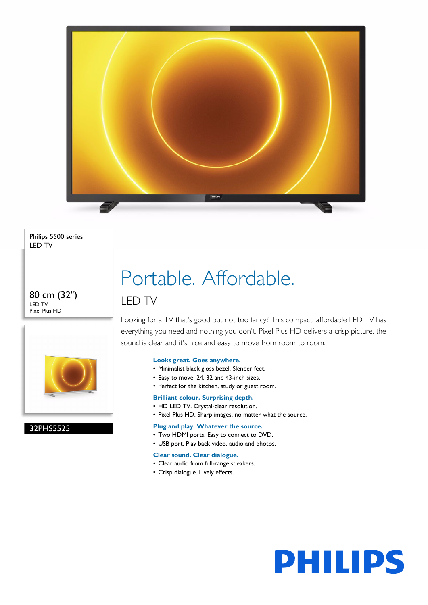

Philips 5500 series LED TV

80 cm (32") LED TV Pixel Plus HD



32PHS5525

# Portable. Affordable. LED TV

Looking for a TV that's good but not too fancy? This compact, affordable LED TV has everything you need and nothing you don't. Pixel Plus HD delivers a crisp picture, the sound is clear and it's nice and easy to move from room to room.

**PHILIPS** 

### **Looks great. Goes anywhere.**

- Minimalist black gloss bezel. Slender feet.
- Easy to move. 24, 32 and 43-inch sizes.
- Perfect for the kitchen, study or guest room.

#### **Brilliant colour. Surprising depth.**

- HD LED TV. Crystal-clear resolution.
- Pixel Plus HD. Sharp images, no matter what the source.

### **Plug and play. Whatever the source.**

- Two HDMI ports. Easy to connect to DVD.
- USB port. Play back video, audio and photos.

#### **Clear sound. Clear dialogue.**

- Clear audio from full-range speakers.
- Crisp dialogue. Lively effects.